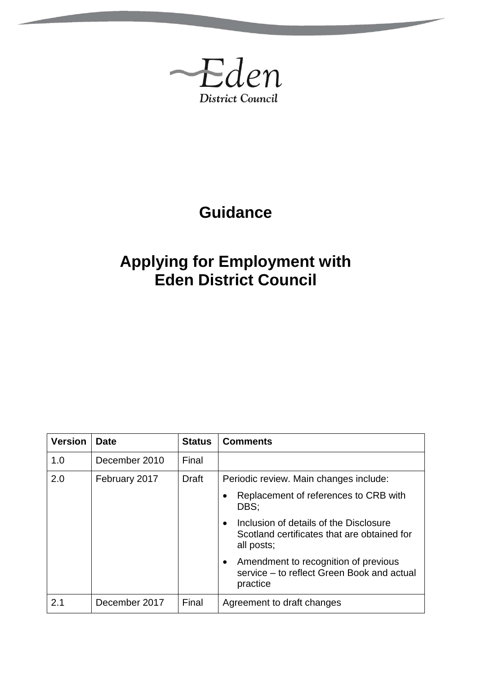

# **Guidance**

# **Applying for Employment with Eden District Council**

| <b>Version</b> | <b>Date</b>   | <b>Status</b> | <b>Comments</b>                                                                                                  |
|----------------|---------------|---------------|------------------------------------------------------------------------------------------------------------------|
| 1.0            | December 2010 | Final         |                                                                                                                  |
| 2.0            | February 2017 | Draft         | Periodic review. Main changes include:                                                                           |
|                |               |               | Replacement of references to CRB with<br>DBS:                                                                    |
|                |               |               | Inclusion of details of the Disclosure<br>$\bullet$<br>Scotland certificates that are obtained for<br>all posts; |
|                |               |               | Amendment to recognition of previous<br>$\bullet$<br>service - to reflect Green Book and actual<br>practice      |
| 2.1            | December 2017 | Final         | Agreement to draft changes                                                                                       |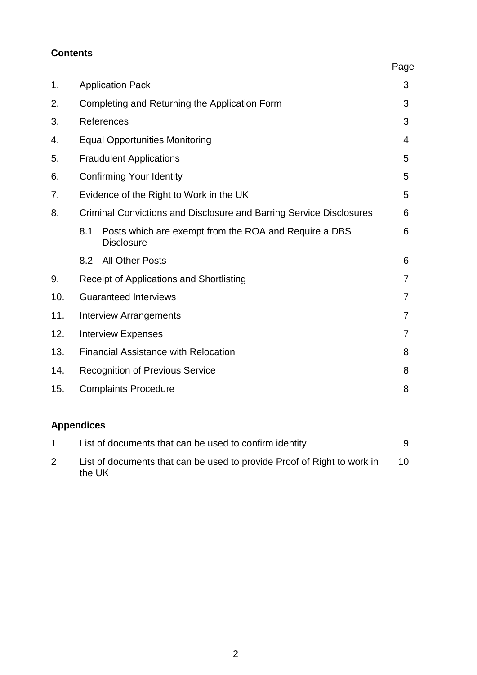#### **Contents**

|     |                                                                                   | Page |  |
|-----|-----------------------------------------------------------------------------------|------|--|
| 1.  | <b>Application Pack</b>                                                           | 3    |  |
| 2.  | Completing and Returning the Application Form                                     | 3    |  |
| 3.  | References                                                                        | 3    |  |
| 4.  | <b>Equal Opportunities Monitoring</b>                                             | 4    |  |
| 5.  | <b>Fraudulent Applications</b>                                                    | 5    |  |
| 6.  | <b>Confirming Your Identity</b>                                                   | 5    |  |
| 7.  | Evidence of the Right to Work in the UK                                           | 5    |  |
| 8.  | Criminal Convictions and Disclosure and Barring Service Disclosures               |      |  |
|     | 8.1<br>Posts which are exempt from the ROA and Require a DBS<br><b>Disclosure</b> | 6    |  |
|     | <b>All Other Posts</b><br>8.2                                                     | 6    |  |
| 9.  | Receipt of Applications and Shortlisting                                          | 7    |  |
| 10. | <b>Guaranteed Interviews</b>                                                      | 7    |  |
| 11. | <b>Interview Arrangements</b>                                                     | 7    |  |
| 12. | <b>Interview Expenses</b>                                                         | 7    |  |
| 13. | <b>Financial Assistance with Relocation</b>                                       | 8    |  |
| 14. | <b>Recognition of Previous Service</b>                                            | 8    |  |
| 15. | <b>Complaints Procedure</b>                                                       | 8    |  |

## **Appendices**

| List of documents that can be used to confirm identity                            | 9  |
|-----------------------------------------------------------------------------------|----|
| List of documents that can be used to provide Proof of Right to work in<br>the UK | 10 |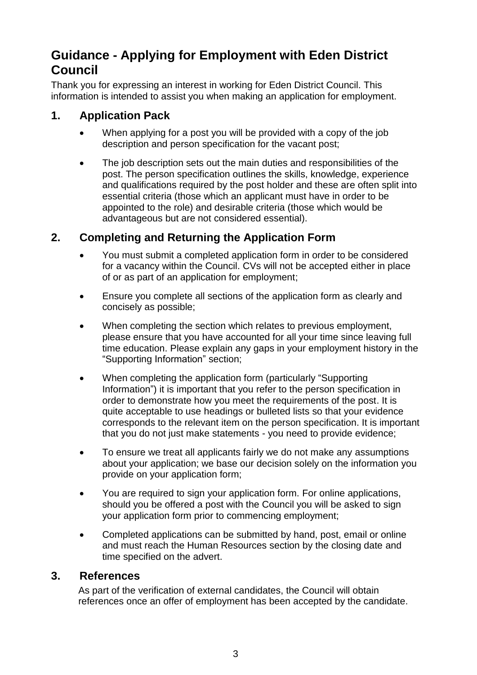# **Guidance - Applying for Employment with Eden District Council**

Thank you for expressing an interest in working for Eden District Council. This information is intended to assist you when making an application for employment.

### **1. Application Pack**

- When applying for a post you will be provided with a copy of the job description and person specification for the vacant post;
- The job description sets out the main duties and responsibilities of the post. The person specification outlines the skills, knowledge, experience and qualifications required by the post holder and these are often split into essential criteria (those which an applicant must have in order to be appointed to the role) and desirable criteria (those which would be advantageous but are not considered essential).

## **2. Completing and Returning the Application Form**

- You must submit a completed application form in order to be considered for a vacancy within the Council. CVs will not be accepted either in place of or as part of an application for employment;
- Ensure you complete all sections of the application form as clearly and concisely as possible;
- When completing the section which relates to previous employment, please ensure that you have accounted for all your time since leaving full time education. Please explain any gaps in your employment history in the "Supporting Information" section;
- When completing the application form (particularly "Supporting Information") it is important that you refer to the person specification in order to demonstrate how you meet the requirements of the post. It is quite acceptable to use headings or bulleted lists so that your evidence corresponds to the relevant item on the person specification. It is important that you do not just make statements - you need to provide evidence;
- To ensure we treat all applicants fairly we do not make any assumptions about your application; we base our decision solely on the information you provide on your application form;
- You are required to sign your application form. For online applications, should you be offered a post with the Council you will be asked to sign your application form prior to commencing employment;
- Completed applications can be submitted by hand, post, email or online and must reach the Human Resources section by the closing date and time specified on the advert.

#### **3. References**

As part of the verification of external candidates, the Council will obtain references once an offer of employment has been accepted by the candidate.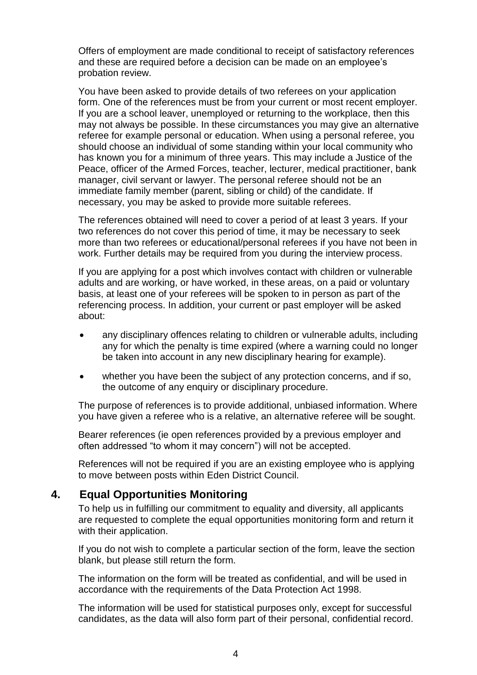Offers of employment are made conditional to receipt of satisfactory references and these are required before a decision can be made on an employee's probation review.

You have been asked to provide details of two referees on your application form. One of the references must be from your current or most recent employer. If you are a school leaver, unemployed or returning to the workplace, then this may not always be possible. In these circumstances you may give an alternative referee for example personal or education. When using a personal referee, you should choose an individual of some standing within your local community who has known you for a minimum of three years. This may include a Justice of the Peace, officer of the Armed Forces, teacher, lecturer, medical practitioner, bank manager, civil servant or lawyer. The personal referee should not be an immediate family member (parent, sibling or child) of the candidate. If necessary, you may be asked to provide more suitable referees.

The references obtained will need to cover a period of at least 3 years. If your two references do not cover this period of time, it may be necessary to seek more than two referees or educational/personal referees if you have not been in work. Further details may be required from you during the interview process.

If you are applying for a post which involves contact with children or vulnerable adults and are working, or have worked, in these areas, on a paid or voluntary basis, at least one of your referees will be spoken to in person as part of the referencing process. In addition, your current or past employer will be asked about:

- any disciplinary offences relating to children or vulnerable adults, including any for which the penalty is time expired (where a warning could no longer be taken into account in any new disciplinary hearing for example).
- whether you have been the subject of any protection concerns, and if so, the outcome of any enquiry or disciplinary procedure.

The purpose of references is to provide additional, unbiased information. Where you have given a referee who is a relative, an alternative referee will be sought.

Bearer references (ie open references provided by a previous employer and often addressed "to whom it may concern") will not be accepted.

References will not be required if you are an existing employee who is applying to move between posts within Eden District Council.

#### **4. Equal Opportunities Monitoring**

To help us in fulfilling our commitment to equality and diversity, all applicants are requested to complete the equal opportunities monitoring form and return it with their application.

If you do not wish to complete a particular section of the form, leave the section blank, but please still return the form.

The information on the form will be treated as confidential, and will be used in accordance with the requirements of the Data Protection Act 1998.

The information will be used for statistical purposes only, except for successful candidates, as the data will also form part of their personal, confidential record.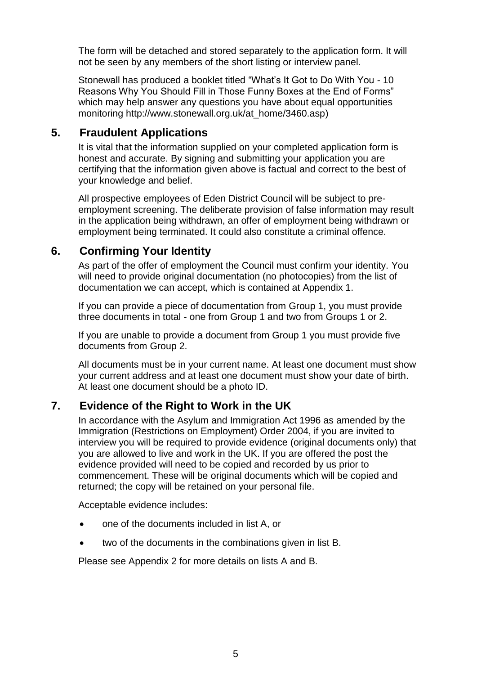The form will be detached and stored separately to the application form. It will not be seen by any members of the short listing or interview panel.

Stonewall has produced a booklet titled "What's It Got to Do With You - 10 Reasons Why You Should Fill in Those Funny Boxes at the End of Forms" which may help answer any questions you have about equal opportunities monitoring http://www.stonewall.org.uk/at\_home/3460.asp)

#### **5. Fraudulent Applications**

It is vital that the information supplied on your completed application form is honest and accurate. By signing and submitting your application you are certifying that the information given above is factual and correct to the best of your knowledge and belief.

All prospective employees of Eden District Council will be subject to preemployment screening. The deliberate provision of false information may result in the application being withdrawn, an offer of employment being withdrawn or employment being terminated. It could also constitute a criminal offence.

### **6. Confirming Your Identity**

As part of the offer of employment the Council must confirm your identity. You will need to provide original documentation (no photocopies) from the list of documentation we can accept, which is contained at Appendix 1.

If you can provide a piece of documentation from Group 1, you must provide three documents in total - one from Group 1 and two from Groups 1 or 2.

If you are unable to provide a document from Group 1 you must provide five documents from Group 2.

All documents must be in your current name. At least one document must show your current address and at least one document must show your date of birth. At least one document should be a photo ID.

### **7. Evidence of the Right to Work in the UK**

In accordance with the Asylum and Immigration Act 1996 as amended by the Immigration (Restrictions on Employment) Order 2004, if you are invited to interview you will be required to provide evidence (original documents only) that you are allowed to live and work in the UK. If you are offered the post the evidence provided will need to be copied and recorded by us prior to commencement. These will be original documents which will be copied and returned; the copy will be retained on your personal file.

Acceptable evidence includes:

- one of the documents included in list A, or
- two of the documents in the combinations given in list B.

Please see Appendix 2 for more details on lists A and B.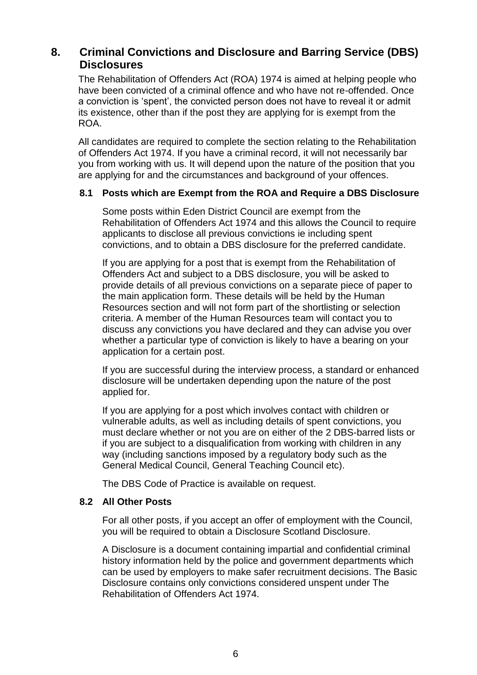#### **8. Criminal Convictions and Disclosure and Barring Service (DBS) Disclosures**

The Rehabilitation of Offenders Act (ROA) 1974 is aimed at helping people who have been convicted of a criminal offence and who have not re-offended. Once a conviction is 'spent', the convicted person does not have to reveal it or admit its existence, other than if the post they are applying for is exempt from the ROA.

All candidates are required to complete the section relating to the Rehabilitation of Offenders Act 1974. If you have a criminal record, it will not necessarily bar you from working with us. It will depend upon the nature of the position that you are applying for and the circumstances and background of your offences.

#### **8.1 Posts which are Exempt from the ROA and Require a DBS Disclosure**

Some posts within Eden District Council are exempt from the Rehabilitation of Offenders Act 1974 and this allows the Council to require applicants to disclose all previous convictions ie including spent convictions, and to obtain a DBS disclosure for the preferred candidate.

If you are applying for a post that is exempt from the Rehabilitation of Offenders Act and subject to a DBS disclosure, you will be asked to provide details of all previous convictions on a separate piece of paper to the main application form. These details will be held by the Human Resources section and will not form part of the shortlisting or selection criteria. A member of the Human Resources team will contact you to discuss any convictions you have declared and they can advise you over whether a particular type of conviction is likely to have a bearing on your application for a certain post.

If you are successful during the interview process, a standard or enhanced disclosure will be undertaken depending upon the nature of the post applied for.

If you are applying for a post which involves contact with children or vulnerable adults, as well as including details of spent convictions, you must declare whether or not you are on either of the 2 DBS-barred lists or if you are subject to a disqualification from working with children in any way (including sanctions imposed by a regulatory body such as the General Medical Council, General Teaching Council etc).

The DBS Code of Practice is available on request.

#### **8.2 All Other Posts**

For all other posts, if you accept an offer of employment with the Council, you will be required to obtain a Disclosure Scotland Disclosure.

A Disclosure is a document containing impartial and confidential criminal history information held by the police and government departments which can be used by employers to make safer recruitment decisions. The Basic Disclosure contains only convictions considered unspent under The Rehabilitation of Offenders Act 1974.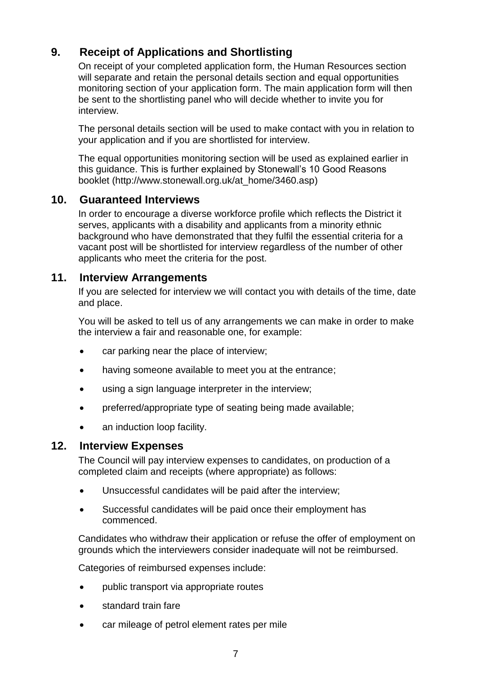## **9. Receipt of Applications and Shortlisting**

On receipt of your completed application form, the Human Resources section will separate and retain the personal details section and equal opportunities monitoring section of your application form. The main application form will then be sent to the shortlisting panel who will decide whether to invite you for interview.

The personal details section will be used to make contact with you in relation to your application and if you are shortlisted for interview.

The equal opportunities monitoring section will be used as explained earlier in this guidance. This is further explained by Stonewall's 10 Good Reasons booklet (http://www.stonewall.org.uk/at\_home/3460.asp)

#### **10. Guaranteed Interviews**

In order to encourage a diverse workforce profile which reflects the District it serves, applicants with a disability and applicants from a minority ethnic background who have demonstrated that they fulfil the essential criteria for a vacant post will be shortlisted for interview regardless of the number of other applicants who meet the criteria for the post.

#### **11. Interview Arrangements**

If you are selected for interview we will contact you with details of the time, date and place.

You will be asked to tell us of any arrangements we can make in order to make the interview a fair and reasonable one, for example:

- car parking near the place of interview;
- having someone available to meet you at the entrance;
- using a sign language interpreter in the interview;
- preferred/appropriate type of seating being made available;
- an induction loop facility.

#### **12. Interview Expenses**

The Council will pay interview expenses to candidates, on production of a completed claim and receipts (where appropriate) as follows:

- Unsuccessful candidates will be paid after the interview;
- Successful candidates will be paid once their employment has commenced.

Candidates who withdraw their application or refuse the offer of employment on grounds which the interviewers consider inadequate will not be reimbursed.

Categories of reimbursed expenses include:

- public transport via appropriate routes
- standard train fare
- car mileage of petrol element rates per mile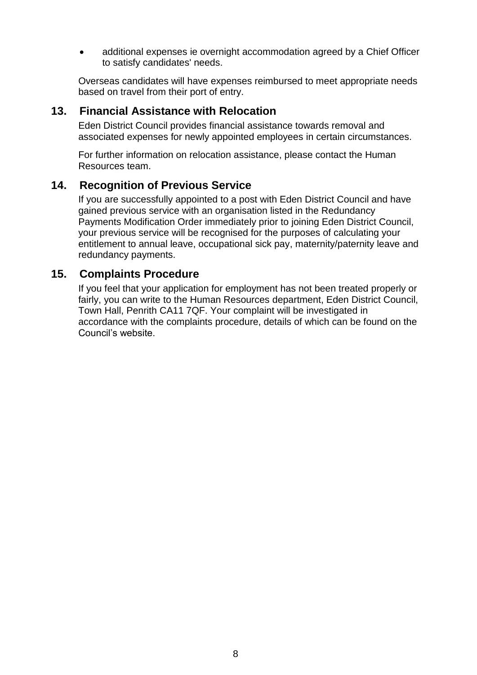additional expenses ie overnight accommodation agreed by a Chief Officer to satisfy candidates' needs.

Overseas candidates will have expenses reimbursed to meet appropriate needs based on travel from their port of entry.

#### **13. Financial Assistance with Relocation**

Eden District Council provides financial assistance towards removal and associated expenses for newly appointed employees in certain circumstances.

For further information on relocation assistance, please contact the Human Resources team.

#### **14. Recognition of Previous Service**

If you are successfully appointed to a post with Eden District Council and have gained previous service with an organisation listed in the Redundancy Payments Modification Order immediately prior to joining Eden District Council, your previous service will be recognised for the purposes of calculating your entitlement to annual leave, occupational sick pay, maternity/paternity leave and redundancy payments.

#### **15. Complaints Procedure**

If you feel that your application for employment has not been treated properly or fairly, you can write to the Human Resources department, Eden District Council, Town Hall, Penrith CA11 7QF. Your complaint will be investigated in accordance with the complaints procedure, details of which can be found on the Council's website.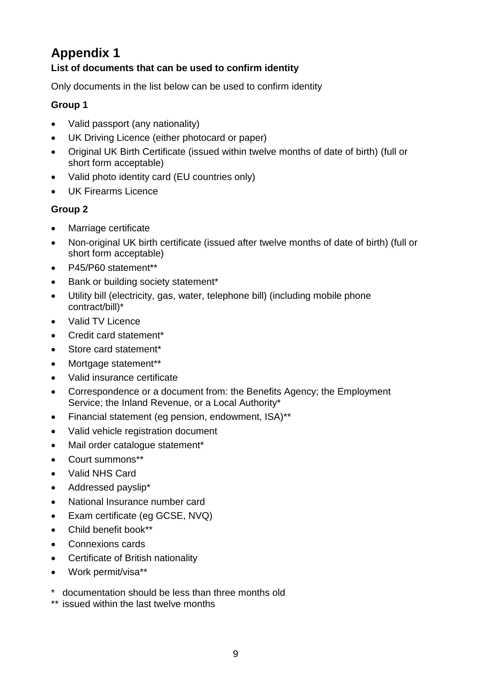# **Appendix 1**

#### **List of documents that can be used to confirm identity**

Only documents in the list below can be used to confirm identity

#### **Group 1**

- Valid passport (any nationality)
- UK Driving Licence (either photocard or paper)
- Original UK Birth Certificate (issued within twelve months of date of birth) (full or short form acceptable)
- Valid photo identity card (EU countries only)
- UK Firearms Licence

#### **Group 2**

- Marriage certificate
- Non-original UK birth certificate (issued after twelve months of date of birth) (full or short form acceptable)
- P45/P60 statement\*\*
- Bank or building society statement\*
- Utility bill (electricity, gas, water, telephone bill) (including mobile phone contract/bill)\*
- Valid TV Licence
- Credit card statement\*
- Store card statement\*
- Mortgage statement\*\*
- Valid insurance certificate
- Correspondence or a document from: the Benefits Agency; the Employment Service; the Inland Revenue, or a Local Authority\*
- Financial statement (eg pension, endowment, ISA)\*\*
- Valid vehicle registration document
- Mail order catalogue statement\*
- Court summons\*\*
- Valid NHS Card
- Addressed payslip\*
- National Insurance number card
- Exam certificate (eg GCSE, NVQ)
- Child benefit book\*\*
- Connexions cards
- Certificate of British nationality
- Work permit/visa\*\*
- \* documentation should be less than three months old
- \*\* issued within the last twelve months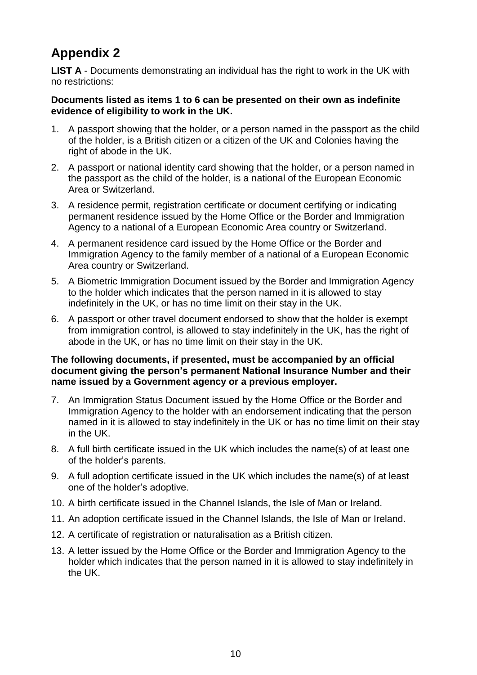# **Appendix 2**

**LIST A** - Documents demonstrating an individual has the right to work in the UK with no restrictions:

#### **Documents listed as items 1 to 6 can be presented on their own as indefinite evidence of eligibility to work in the UK.**

- 1. A passport showing that the holder, or a person named in the passport as the child of the holder, is a British citizen or a citizen of the UK and Colonies having the right of abode in the UK.
- 2. A passport or national identity card showing that the holder, or a person named in the passport as the child of the holder, is a national of the European Economic Area or Switzerland.
- 3. A residence permit, registration certificate or document certifying or indicating permanent residence issued by the Home Office or the Border and Immigration Agency to a national of a European Economic Area country or Switzerland.
- 4. A permanent residence card issued by the Home Office or the Border and Immigration Agency to the family member of a national of a European Economic Area country or Switzerland.
- 5. A Biometric Immigration Document issued by the Border and Immigration Agency to the holder which indicates that the person named in it is allowed to stay indefinitely in the UK, or has no time limit on their stay in the UK.
- 6. A passport or other travel document endorsed to show that the holder is exempt from immigration control, is allowed to stay indefinitely in the UK, has the right of abode in the UK, or has no time limit on their stay in the UK.

#### **The following documents, if presented, must be accompanied by an official document giving the person's permanent National Insurance Number and their name issued by a Government agency or a previous employer.**

- 7. An Immigration Status Document issued by the Home Office or the Border and Immigration Agency to the holder with an endorsement indicating that the person named in it is allowed to stay indefinitely in the UK or has no time limit on their stay in the UK.
- 8. A full birth certificate issued in the UK which includes the name(s) of at least one of the holder's parents.
- 9. A full adoption certificate issued in the UK which includes the name(s) of at least one of the holder's adoptive.
- 10. A birth certificate issued in the Channel Islands, the Isle of Man or Ireland.
- 11. An adoption certificate issued in the Channel Islands, the Isle of Man or Ireland.
- 12. A certificate of registration or naturalisation as a British citizen.
- 13. A letter issued by the Home Office or the Border and Immigration Agency to the holder which indicates that the person named in it is allowed to stay indefinitely in the UK.